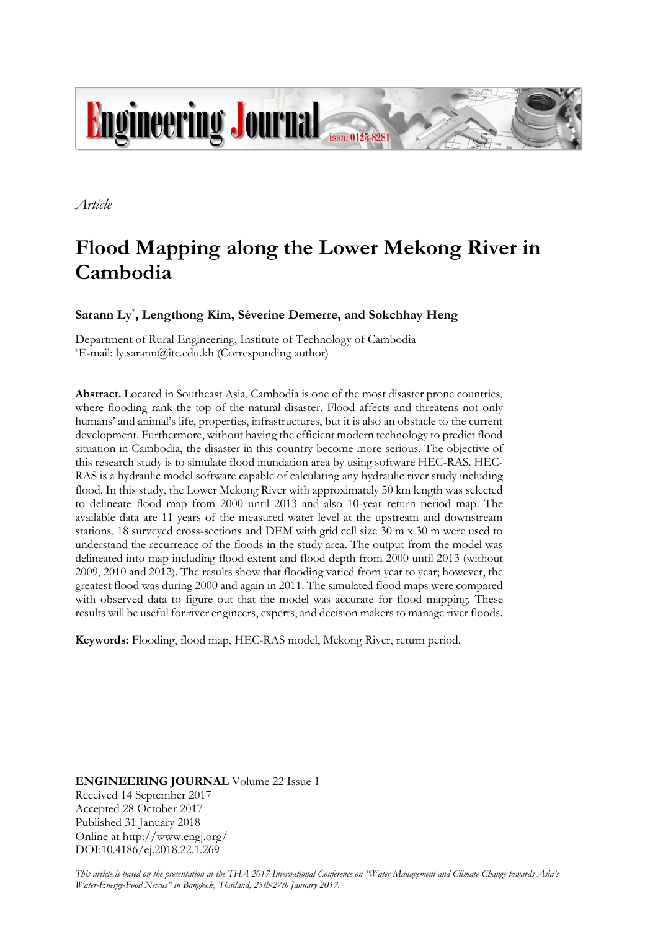

*Article*

# **Flood Mapping along the Lower Mekong River in Cambodia**

**Sarann Ly**\* **, Lengthong Kim, Séverine Demerre, and Sokchhay Heng**

Department of Rural Engineering, Institute of Technology of Cambodia \*E-mail: ly.sarann@itc.edu.kh (Corresponding author)

**Abstract.** Located in Southeast Asia, Cambodia is one of the most disaster prone countries, where flooding rank the top of the natural disaster. Flood affects and threatens not only humans' and animal's life, properties, infrastructures, but it is also an obstacle to the current development. Furthermore, without having the efficient modern technology to predict flood situation in Cambodia, the disaster in this country become more serious. The objective of this research study is to simulate flood inundation area by using software HEC-RAS. HEC-RAS is a hydraulic model software capable of calculating any hydraulic river study including flood. In this study, the Lower Mekong River with approximately 50 km length was selected to delineate flood map from 2000 until 2013 and also 10-year return period map. The available data are 11 years of the measured water level at the upstream and downstream stations, 18 surveyed cross-sections and DEM with grid cell size 30 m x 30 m were used to understand the recurrence of the floods in the study area. The output from the model was delineated into map including flood extent and flood depth from 2000 until 2013 (without 2009, 2010 and 2012). The results show that flooding varied from year to year; however, the greatest flood was during 2000 and again in 2011. The simulated flood maps were compared with observed data to figure out that the model was accurate for flood mapping. These results will be useful for river engineers, experts, and decision makers to manage river floods.

**Keywords:** Flooding, flood map, HEC-RAS model, Mekong River, return period.

**ENGINEERING JOURNAL** Volume 22 Issue 1 Received 14 September 2017 Accepted 28 October 2017 Published 31 January 2018 Online at http://www.engj.org/ DOI:10.4186/ej.2018.22.1.269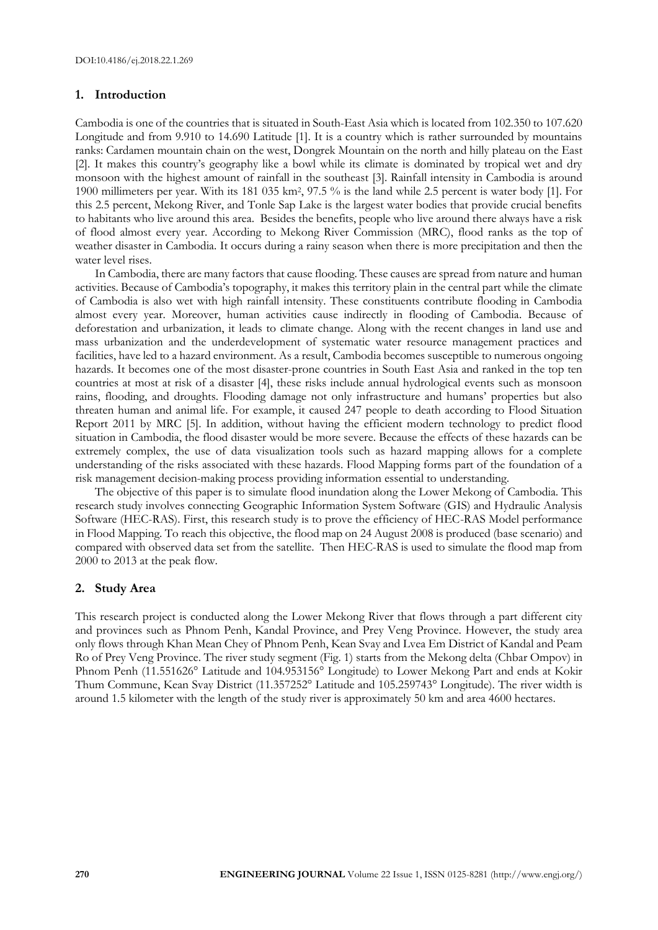## **1. Introduction**

Cambodia is one of the countries that is situated in South-East Asia which is located from 102.350 to 107.620 Longitude and from 9.910 to 14.690 Latitude [1]. It is a country which is rather surrounded by mountains ranks: Cardamen mountain chain on the west, Dongrek Mountain on the north and hilly plateau on the East [2]. It makes this country's geography like a bowl while its climate is dominated by tropical wet and dry monsoon with the highest amount of rainfall in the southeast [3]. Rainfall intensity in Cambodia is around 1900 millimeters per year. With its 181 035 km<sup>2</sup> , 97.5 % is the land while 2.5 percent is water body [1]. For this 2.5 percent, Mekong River, and Tonle Sap Lake is the largest water bodies that provide crucial benefits to habitants who live around this area. Besides the benefits, people who live around there always have a risk of flood almost every year. According to Mekong River Commission (MRC), flood ranks as the top of weather disaster in Cambodia. It occurs during a rainy season when there is more precipitation and then the water level rises.

In Cambodia, there are many factors that cause flooding. These causes are spread from nature and human activities. Because of Cambodia's topography, it makes this territory plain in the central part while the climate of Cambodia is also wet with high rainfall intensity. These constituents contribute flooding in Cambodia almost every year. Moreover, human activities cause indirectly in flooding of Cambodia. Because of deforestation and urbanization, it leads to climate change. Along with the recent changes in land use and mass urbanization and the underdevelopment of systematic water resource management practices and facilities, have led to a hazard environment. As a result, Cambodia becomes susceptible to numerous ongoing hazards. It becomes one of the most disaster-prone countries in South East Asia and ranked in the top ten countries at most at risk of a disaster [4], these risks include annual hydrological events such as monsoon rains, flooding, and droughts. Flooding damage not only infrastructure and humans' properties but also threaten human and animal life. For example, it caused 247 people to death according to Flood Situation Report 2011 by MRC [5]. In addition, without having the efficient modern technology to predict flood situation in Cambodia, the flood disaster would be more severe. Because the effects of these hazards can be extremely complex, the use of data visualization tools such as hazard mapping allows for a complete understanding of the risks associated with these hazards. Flood Mapping forms part of the foundation of a risk management decision-making process providing information essential to understanding.

The objective of this paper is to simulate flood inundation along the Lower Mekong of Cambodia. This research study involves connecting Geographic Information System Software (GIS) and Hydraulic Analysis Software (HEC-RAS). First, this research study is to prove the efficiency of HEC-RAS Model performance in Flood Mapping. To reach this objective, the flood map on 24 August 2008 is produced (base scenario) and compared with observed data set from the satellite. Then HEC-RAS is used to simulate the flood map from 2000 to 2013 at the peak flow.

# **2. Study Area**

This research project is conducted along the Lower Mekong River that flows through a part different city and provinces such as Phnom Penh, Kandal Province, and Prey Veng Province. However, the study area only flows through Khan Mean Chey of Phnom Penh, Kean Svay and Lvea Em District of Kandal and Peam Ro of Prey Veng Province. The river study segment (Fig. 1) starts from the Mekong delta (Chbar Ompov) in Phnom Penh (11.551626° Latitude and 104.953156° Longitude) to Lower Mekong Part and ends at Kokir Thum Commune, Kean Svay District (11.357252° Latitude and 105.259743° Longitude). The river width is around 1.5 kilometer with the length of the study river is approximately 50 km and area 4600 hectares.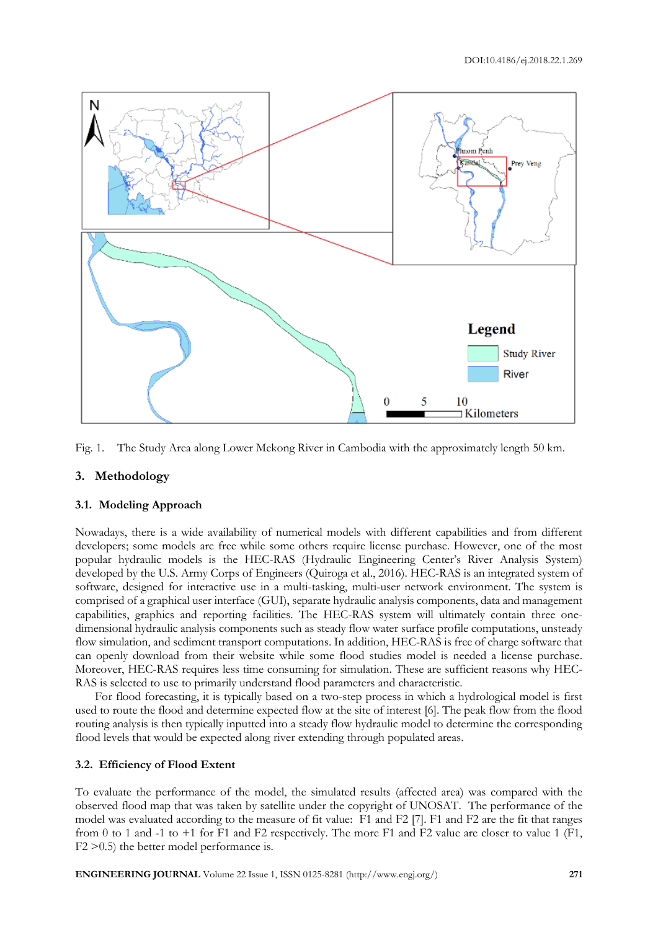

Fig. 1. The Study Area along Lower Mekong River in Cambodia with the approximately length 50 km.

# **3. Methodology**

#### **3.1. Modeling Approach**

Nowadays, there is a wide availability of numerical models with different capabilities and from different developers; some models are free while some others require license purchase. However, one of the most popular hydraulic models is the HEC-RAS (Hydraulic Engineering Center's River Analysis System) developed by the U.S. Army Corps of Engineers (Quiroga et al., 2016). HEC-RAS is an integrated system of software, designed for interactive use in a multi-tasking, multi-user network environment. The system is comprised of a graphical user interface (GUI), separate hydraulic analysis components, data and management capabilities, graphics and reporting facilities. The HEC-RAS system will ultimately contain three onedimensional hydraulic analysis components such as steady flow water surface profile computations, unsteady flow simulation, and sediment transport computations. In addition, HEC-RAS is free of charge software that can openly download from their website while some flood studies model is needed a license purchase. Moreover, HEC-RAS requires less time consuming for simulation. These are sufficient reasons why HEC-RAS is selected to use to primarily understand flood parameters and characteristic.

For flood forecasting, it is typically based on a two-step process in which a hydrological model is first used to route the flood and determine expected flow at the site of interest [6]. The peak flow from the flood routing analysis is then typically inputted into a steady flow hydraulic model to determine the corresponding flood levels that would be expected along river extending through populated areas.

#### **3.2. Efficiency of Flood Extent**

To evaluate the performance of the model, the simulated results (affected area) was compared with the observed flood map that was taken by satellite under the copyright of UNOSAT. The performance of the model was evaluated according to the measure of fit value: F1 and F2 [7]. F1 and F2 are the fit that ranges from 0 to 1 and -1 to +1 for F1 and F2 respectively. The more F1 and F2 value are closer to value 1 (F1, F2 >0.5) the better model performance is.

**ENGINEERING JOURNAL** Volume 22 Issue 1, ISSN 0125-8281 (http://www.engj.org/) **271**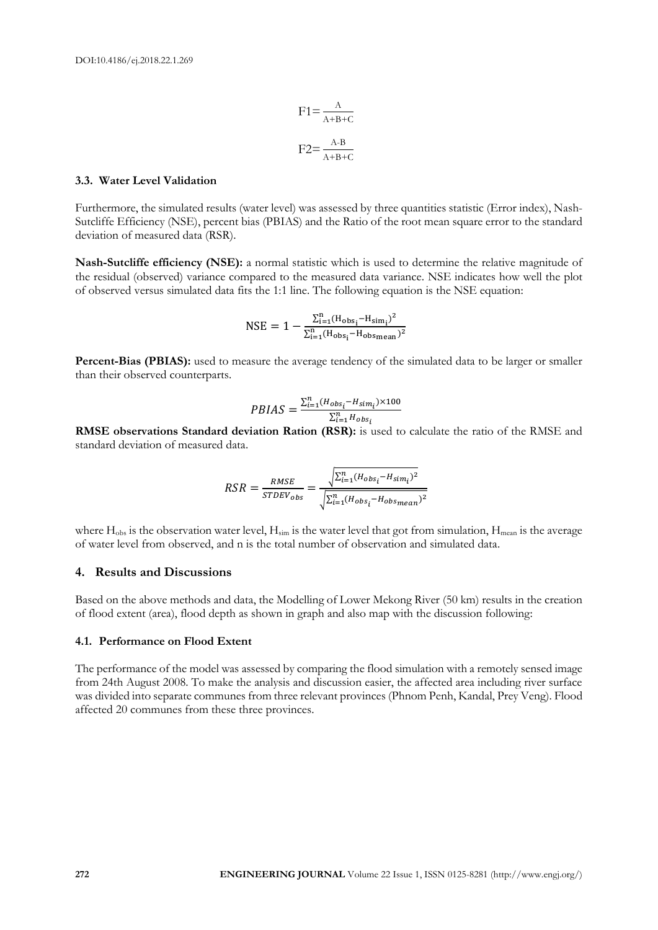$$
F1 = \frac{A}{A+B+C}
$$

$$
F2 = \frac{A-B}{A+B+C}
$$

## **3.3. Water Level Validation**

Furthermore, the simulated results (water level) was assessed by three quantities statistic (Error index), Nash-Sutcliffe Efficiency (NSE), percent bias (PBIAS) and the Ratio of the root mean square error to the standard deviation of measured data (RSR).

**Nash-Sutcliffe efficiency (NSE):** a normal statistic which is used to determine the relative magnitude of the residual (observed) variance compared to the measured data variance. NSE indicates how well the plot of observed versus simulated data fits the 1:1 line. The following equation is the NSE equation:

$$
NSE = 1 - \frac{\Sigma_{i=1}^{n}(H_{obs_{i}}-H_{sim_{i}})^{2}}{\Sigma_{i=1}^{n}(H_{obs_{i}}-H_{obs_{mean}})^{2}}
$$

**Percent-Bias (PBIAS):** used to measure the average tendency of the simulated data to be larger or smaller than their observed counterparts.

$$
PBIAS = \frac{\sum_{i=1}^{n} (H_{obs_i} - H_{sim_i}) \times 100}{\sum_{i=1}^{n} H_{obs_i}}
$$

**RMSE observations Standard deviation Ration (RSR):** is used to calculate the ratio of the RMSE and standard deviation of measured data.

$$
RSR = \frac{RMSE}{STDEV_{obs}} = \frac{\sqrt{\sum_{i=1}^{n} (H_{obs_i} - H_{sim_i})^2}}{\sqrt{\sum_{i=1}^{n} (H_{obs_i} - H_{obsmean})^2}}
$$

where  $H_{obs}$  is the observation water level,  $H_{sim}$  is the water level that got from simulation,  $H_{mean}$  is the average of water level from observed, and n is the total number of observation and simulated data.

#### **4. Results and Discussions**

Based on the above methods and data, the Modelling of Lower Mekong River (50 km) results in the creation of flood extent (area), flood depth as shown in graph and also map with the discussion following:

#### **4.1. Performance on Flood Extent**

The performance of the model was assessed by comparing the flood simulation with a remotely sensed image from 24th August 2008. To make the analysis and discussion easier, the affected area including river surface was divided into separate communes from three relevant provinces (Phnom Penh, Kandal, Prey Veng). Flood affected 20 communes from these three provinces.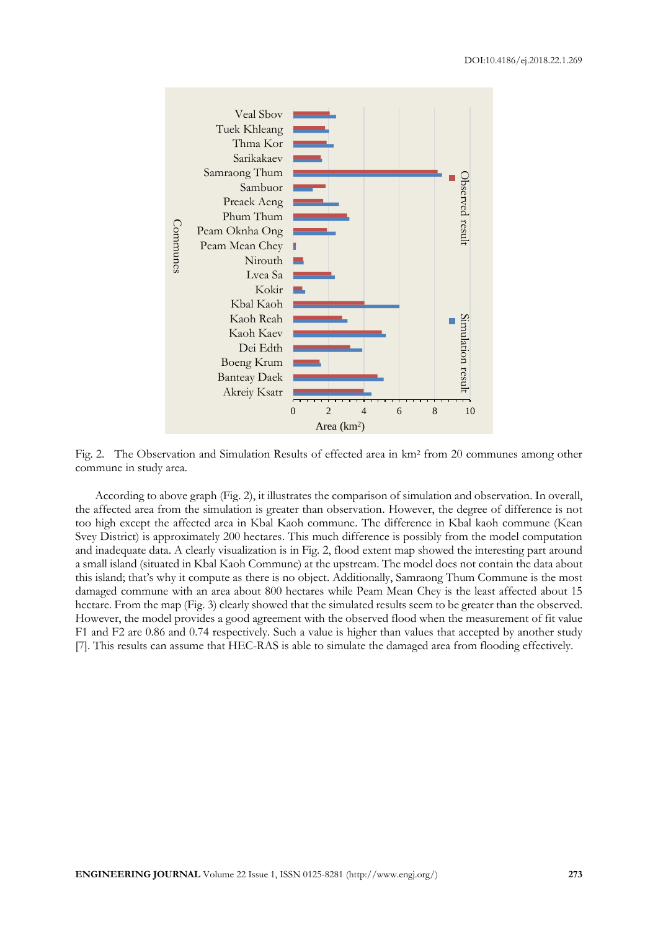

Fig. 2. The Observation and Simulation Results of effected area in km<sup>2</sup> from 20 communes among other commune in study area.

According to above graph (Fig. 2), it illustrates the comparison of simulation and observation. In overall, the affected area from the simulation is greater than observation. However, the degree of difference is not too high except the affected area in Kbal Kaoh commune. The difference in Kbal kaoh commune (Kean Svey District) is approximately 200 hectares. This much difference is possibly from the model computation and inadequate data. A clearly visualization is in Fig. 2, flood extent map showed the interesting part around a small island (situated in Kbal Kaoh Commune) at the upstream. The model does not contain the data about this island; that's why it compute as there is no object. Additionally, Samraong Thum Commune is the most damaged commune with an area about 800 hectares while Peam Mean Chey is the least affected about 15 hectare. From the map (Fig. 3) clearly showed that the simulated results seem to be greater than the observed. However, the model provides a good agreement with the observed flood when the measurement of fit value F1 and F2 are 0.86 and 0.74 respectively. Such a value is higher than values that accepted by another study [7]. This results can assume that HEC-RAS is able to simulate the damaged area from flooding effectively.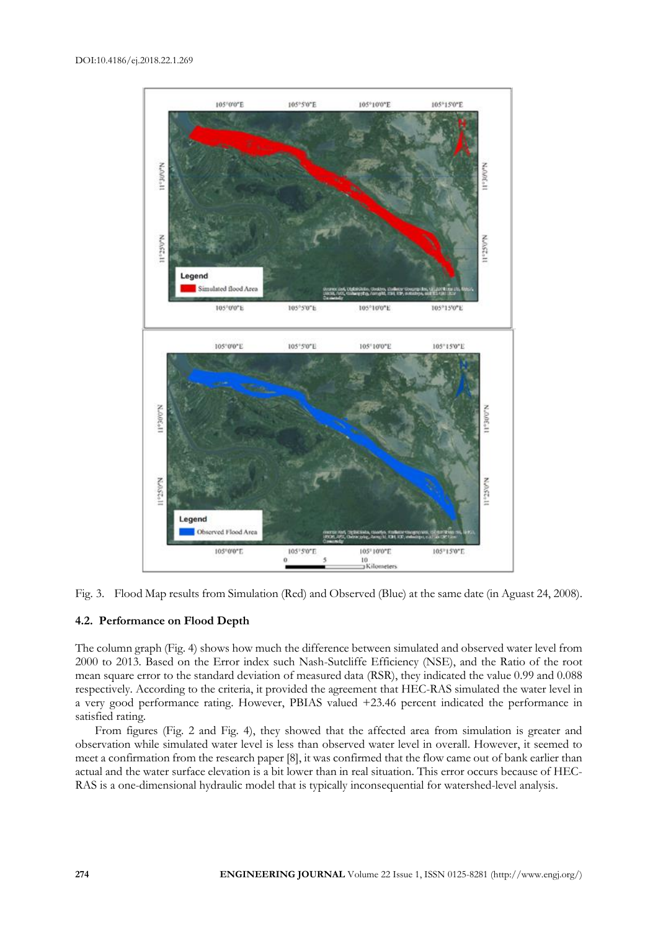



# **4.2. Performance on Flood Depth**

The column graph (Fig. 4) shows how much the difference between simulated and observed water level from 2000 to 2013. Based on the Error index such Nash-Sutcliffe Efficiency (NSE), and the Ratio of the root mean square error to the standard deviation of measured data (RSR), they indicated the value 0.99 and 0.088 respectively. According to the criteria, it provided the agreement that HEC-RAS simulated the water level in a very good performance rating. However, PBIAS valued +23.46 percent indicated the performance in satisfied rating.

From figures (Fig. 2 and Fig. 4), they showed that the affected area from simulation is greater and observation while simulated water level is less than observed water level in overall. However, it seemed to meet a confirmation from the research paper [8], it was confirmed that the flow came out of bank earlier than actual and the water surface elevation is a bit lower than in real situation. This error occurs because of HEC-RAS is a one-dimensional hydraulic model that is typically inconsequential for watershed-level analysis.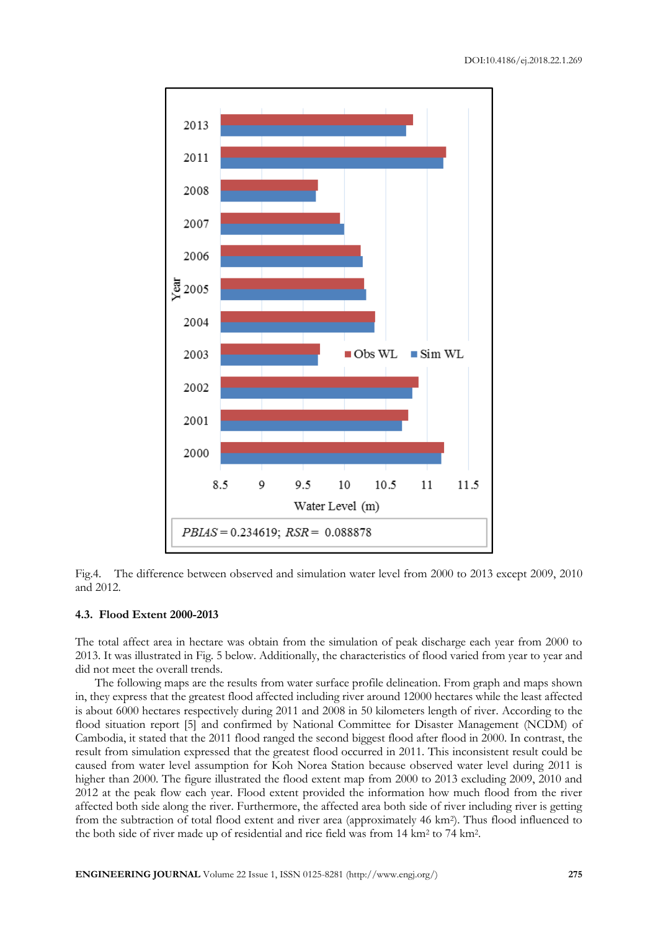



#### **4.3. Flood Extent 2000-2013**

The total affect area in hectare was obtain from the simulation of peak discharge each year from 2000 to 2013. It was illustrated in Fig. 5 below. Additionally, the characteristics of flood varied from year to year and did not meet the overall trends.

The following maps are the results from water surface profile delineation. From graph and maps shown in, they express that the greatest flood affected including river around 12000 hectares while the least affected is about 6000 hectares respectively during 2011 and 2008 in 50 kilometers length of river. According to the flood situation report [5] and confirmed by National Committee for Disaster Management (NCDM) of Cambodia, it stated that the 2011 flood ranged the second biggest flood after flood in 2000. In contrast, the result from simulation expressed that the greatest flood occurred in 2011. This inconsistent result could be caused from water level assumption for Koh Norea Station because observed water level during 2011 is higher than 2000. The figure illustrated the flood extent map from 2000 to 2013 excluding 2009, 2010 and 2012 at the peak flow each year. Flood extent provided the information how much flood from the river affected both side along the river. Furthermore, the affected area both side of river including river is getting from the subtraction of total flood extent and river area (approximately 46 km<sup>2</sup>). Thus flood influenced to the both side of river made up of residential and rice field was from 14 km<sup>2</sup> to 74 km<sup>2</sup>.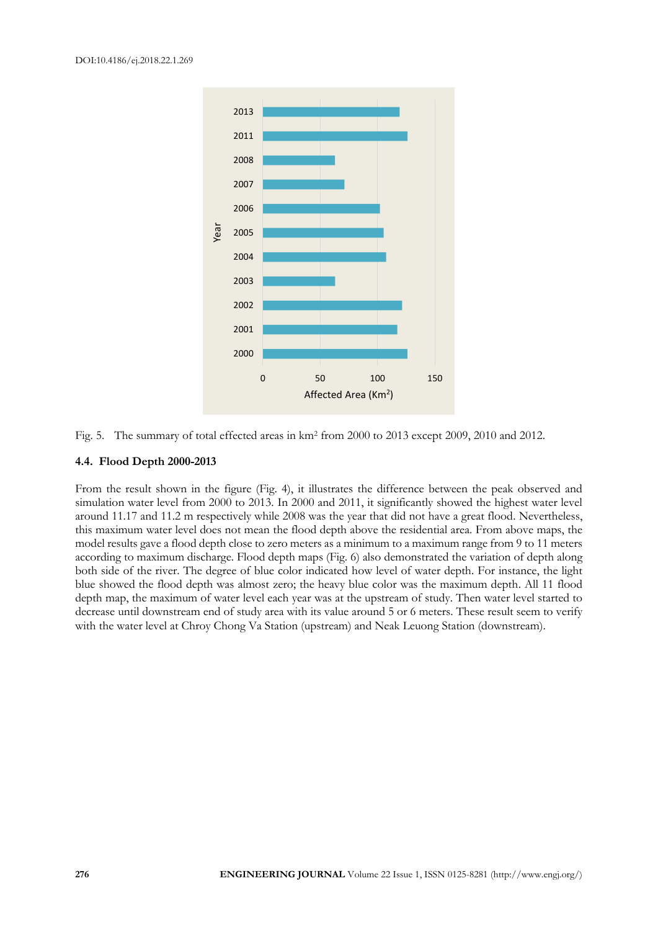

Fig. 5. The summary of total effected areas in km<sup>2</sup> from 2000 to 2013 except 2009, 2010 and 2012.

## **4.4. Flood Depth 2000-2013**

From the result shown in the figure (Fig. 4), it illustrates the difference between the peak observed and simulation water level from 2000 to 2013. In 2000 and 2011, it significantly showed the highest water level around 11.17 and 11.2 m respectively while 2008 was the year that did not have a great flood. Nevertheless, this maximum water level does not mean the flood depth above the residential area. From above maps, the model results gave a flood depth close to zero meters as a minimum to a maximum range from 9 to 11 meters according to maximum discharge. Flood depth maps (Fig. 6) also demonstrated the variation of depth along both side of the river. The degree of blue color indicated how level of water depth. For instance, the light blue showed the flood depth was almost zero; the heavy blue color was the maximum depth. All 11 flood depth map, the maximum of water level each year was at the upstream of study. Then water level started to decrease until downstream end of study area with its value around 5 or 6 meters. These result seem to verify with the water level at Chroy Chong Va Station (upstream) and Neak Leuong Station (downstream).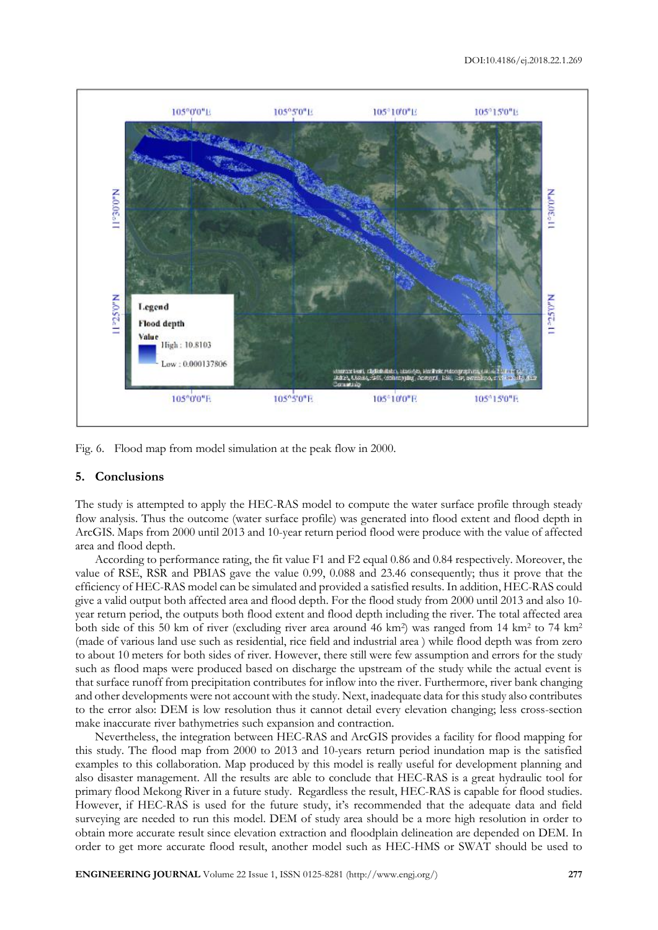

Fig. 6. Flood map from model simulation at the peak flow in 2000.

# **5. Conclusions**

The study is attempted to apply the HEC-RAS model to compute the water surface profile through steady flow analysis. Thus the outcome (water surface profile) was generated into flood extent and flood depth in ArcGIS. Maps from 2000 until 2013 and 10-year return period flood were produce with the value of affected area and flood depth.

According to performance rating, the fit value F1 and F2 equal 0.86 and 0.84 respectively. Moreover, the value of RSE, RSR and PBIAS gave the value 0.99, 0.088 and 23.46 consequently; thus it prove that the efficiency of HEC-RAS model can be simulated and provided a satisfied results. In addition, HEC-RAS could give a valid output both affected area and flood depth. For the flood study from 2000 until 2013 and also 10 year return period, the outputs both flood extent and flood depth including the river. The total affected area both side of this 50 km of river (excluding river area around 46 km<sup>2</sup>) was ranged from 14 km<sup>2</sup> to 74 km<sup>2</sup> (made of various land use such as residential, rice field and industrial area ) while flood depth was from zero to about 10 meters for both sides of river. However, there still were few assumption and errors for the study such as flood maps were produced based on discharge the upstream of the study while the actual event is that surface runoff from precipitation contributes for inflow into the river. Furthermore, river bank changing and other developments were not account with the study. Next, inadequate data for this study also contributes to the error also: DEM is low resolution thus it cannot detail every elevation changing; less cross-section make inaccurate river bathymetries such expansion and contraction.

Nevertheless, the integration between HEC-RAS and ArcGIS provides a facility for flood mapping for this study. The flood map from 2000 to 2013 and 10-years return period inundation map is the satisfied examples to this collaboration. Map produced by this model is really useful for development planning and also disaster management. All the results are able to conclude that HEC-RAS is a great hydraulic tool for primary flood Mekong River in a future study. Regardless the result, HEC-RAS is capable for flood studies. However, if HEC-RAS is used for the future study, it's recommended that the adequate data and field surveying are needed to run this model. DEM of study area should be a more high resolution in order to obtain more accurate result since elevation extraction and floodplain delineation are depended on DEM. In order to get more accurate flood result, another model such as HEC-HMS or SWAT should be used to